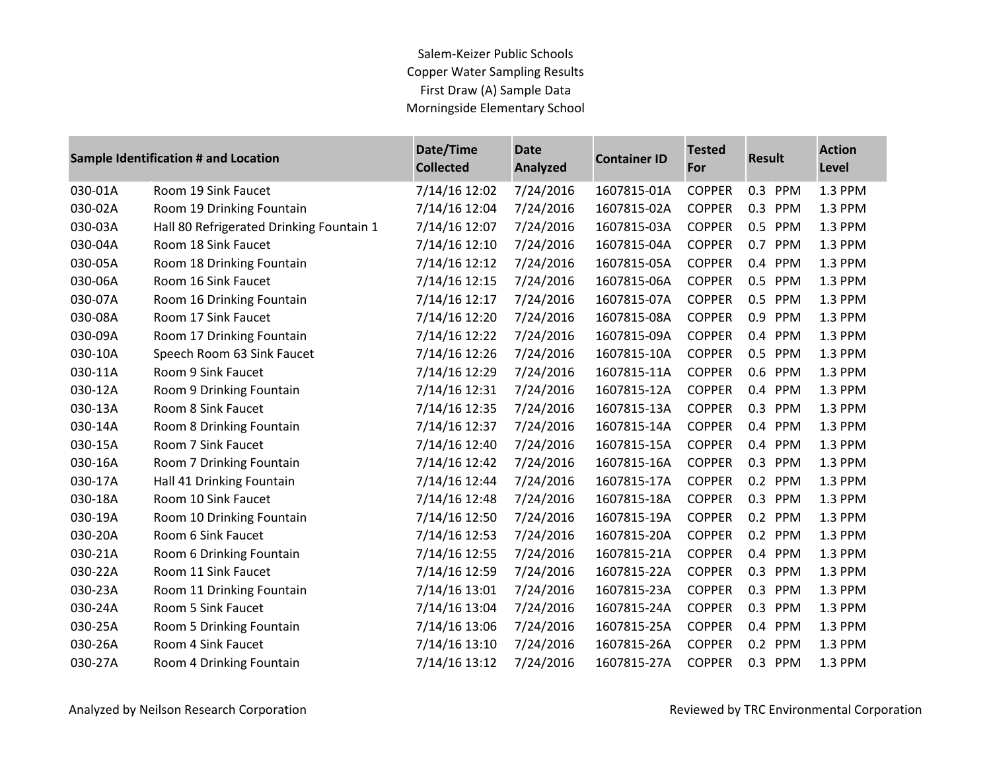## Salem-Keizer Public Schools Copper Water Sampling Results First Draw (A) Sample Data Morningside Elementary School

| <b>Sample Identification # and Location</b> |                                          | Date/Time<br><b>Collected</b> | <b>Date</b><br>Analyzed | <b>Container ID</b> | <b>Tested</b><br>For | <b>Result</b>     | <b>Action</b><br>Level |
|---------------------------------------------|------------------------------------------|-------------------------------|-------------------------|---------------------|----------------------|-------------------|------------------------|
| 030-01A                                     | Room 19 Sink Faucet                      | 7/14/16 12:02                 | 7/24/2016               | 1607815-01A         | <b>COPPER</b>        | 0.3 PPM           | 1.3 PPM                |
| 030-02A                                     | Room 19 Drinking Fountain                | 7/14/16 12:04                 | 7/24/2016               | 1607815-02A         | <b>COPPER</b>        | 0.3<br>PPM        | 1.3 PPM                |
| 030-03A                                     | Hall 80 Refrigerated Drinking Fountain 1 | 7/14/16 12:07                 | 7/24/2016               | 1607815-03A         | <b>COPPER</b>        | 0.5 PPM           | 1.3 PPM                |
| 030-04A                                     | Room 18 Sink Faucet                      | 7/14/16 12:10                 | 7/24/2016               | 1607815-04A         | <b>COPPER</b>        | 0.7<br>PPM        | 1.3 PPM                |
| 030-05A                                     | Room 18 Drinking Fountain                | 7/14/16 12:12                 | 7/24/2016               | 1607815-05A         | <b>COPPER</b>        | 0.4 PPM           | 1.3 PPM                |
| 030-06A                                     | Room 16 Sink Faucet                      | 7/14/16 12:15                 | 7/24/2016               | 1607815-06A         | <b>COPPER</b>        | 0.5<br>PPM        | 1.3 PPM                |
| 030-07A                                     | Room 16 Drinking Fountain                | 7/14/16 12:17                 | 7/24/2016               | 1607815-07A         | <b>COPPER</b>        | 0.5<br>PPM        | 1.3 PPM                |
| 030-08A                                     | Room 17 Sink Faucet                      | 7/14/16 12:20                 | 7/24/2016               | 1607815-08A         | <b>COPPER</b>        | 0.9<br>PPM        | 1.3 PPM                |
| 030-09A                                     | Room 17 Drinking Fountain                | 7/14/16 12:22                 | 7/24/2016               | 1607815-09A         | <b>COPPER</b>        | PPM<br>0.4        | 1.3 PPM                |
| 030-10A                                     | Speech Room 63 Sink Faucet               | 7/14/16 12:26                 | 7/24/2016               | 1607815-10A         | <b>COPPER</b>        | 0.5<br>PPM        | 1.3 PPM                |
| 030-11A                                     | Room 9 Sink Faucet                       | 7/14/16 12:29                 | 7/24/2016               | 1607815-11A         | <b>COPPER</b>        | 0.6 PPM           | 1.3 PPM                |
| 030-12A                                     | Room 9 Drinking Fountain                 | 7/14/16 12:31                 | 7/24/2016               | 1607815-12A         | <b>COPPER</b>        | 0.4 PPM           | 1.3 PPM                |
| 030-13A                                     | Room 8 Sink Faucet                       | 7/14/16 12:35                 | 7/24/2016               | 1607815-13A         | <b>COPPER</b>        | 0.3<br>PPM        | 1.3 PPM                |
| 030-14A                                     | Room 8 Drinking Fountain                 | 7/14/16 12:37                 | 7/24/2016               | 1607815-14A         | <b>COPPER</b>        | 0.4 PPM           | 1.3 PPM                |
| 030-15A                                     | Room 7 Sink Faucet                       | 7/14/16 12:40                 | 7/24/2016               | 1607815-15A         | <b>COPPER</b>        | 0.4 PPM           | 1.3 PPM                |
| 030-16A                                     | Room 7 Drinking Fountain                 | 7/14/16 12:42                 | 7/24/2016               | 1607815-16A         | <b>COPPER</b>        | 0.3<br>PPM        | 1.3 PPM                |
| 030-17A                                     | Hall 41 Drinking Fountain                | 7/14/16 12:44                 | 7/24/2016               | 1607815-17A         | <b>COPPER</b>        | 0.2 PPM           | 1.3 PPM                |
| 030-18A                                     | Room 10 Sink Faucet                      | 7/14/16 12:48                 | 7/24/2016               | 1607815-18A         | <b>COPPER</b>        | 0.3<br>PPM        | 1.3 PPM                |
| 030-19A                                     | Room 10 Drinking Fountain                | 7/14/16 12:50                 | 7/24/2016               | 1607815-19A         | <b>COPPER</b>        | 0.2 PPM           | 1.3 PPM                |
| 030-20A                                     | Room 6 Sink Faucet                       | 7/14/16 12:53                 | 7/24/2016               | 1607815-20A         | <b>COPPER</b>        | 0.2<br>PPM        | 1.3 PPM                |
| 030-21A                                     | Room 6 Drinking Fountain                 | 7/14/16 12:55                 | 7/24/2016               | 1607815-21A         | <b>COPPER</b>        | 0.4 PPM           | 1.3 PPM                |
| 030-22A                                     | Room 11 Sink Faucet                      | 7/14/16 12:59                 | 7/24/2016               | 1607815-22A         | <b>COPPER</b>        | 0.3<br><b>PPM</b> | 1.3 PPM                |
| 030-23A                                     | Room 11 Drinking Fountain                | 7/14/16 13:01                 | 7/24/2016               | 1607815-23A         | <b>COPPER</b>        | 0.3<br>PPM        | 1.3 PPM                |
| 030-24A                                     | Room 5 Sink Faucet                       | 7/14/16 13:04                 | 7/24/2016               | 1607815-24A         | <b>COPPER</b>        | 0.3<br>PPM        | 1.3 PPM                |
| 030-25A                                     | Room 5 Drinking Fountain                 | 7/14/16 13:06                 | 7/24/2016               | 1607815-25A         | <b>COPPER</b>        | 0.4 PPM           | 1.3 PPM                |
| 030-26A                                     | Room 4 Sink Faucet                       | 7/14/16 13:10                 | 7/24/2016               | 1607815-26A         | <b>COPPER</b>        | 0.2<br>PPM        | 1.3 PPM                |
| 030-27A                                     | Room 4 Drinking Fountain                 | 7/14/16 13:12                 | 7/24/2016               | 1607815-27A         | <b>COPPER</b>        | 0.3<br>PPM        | 1.3 PPM                |